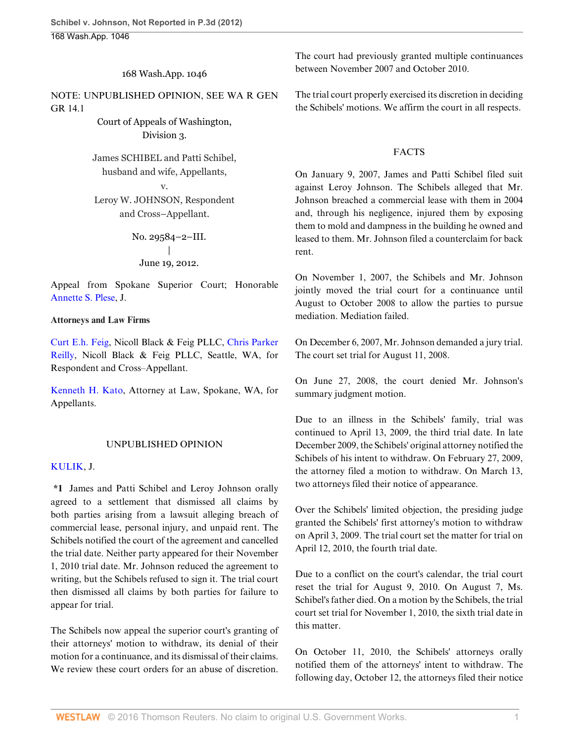168 Wash.App. 1046

NOTE: UNPUBLISHED OPINION, SEE WA R GEN GR 14.1

> Court of Appeals of Washington, Division 3.

James SCHIBEL and Patti Schibel, husband and wife, Appellants,

v.

Leroy W. JOHNSON, Respondent and Cross–Appellant.

> No. 29584–2–III. | June 19, 2012.

Appeal from Spokane Superior Court; Honorable [Annette S. Plese,](http://www.westlaw.com/Link/Document/FullText?findType=h&pubNum=176284&cite=0258420901&originatingDoc=Ib0776e72bacb11e1b11ea85d0b248d27&refType=RQ&originationContext=document&vr=3.0&rs=cblt1.0&transitionType=DocumentItem&contextData=(sc.Search)) J.

## **Attorneys and Law Firms**

[Curt E.h. Feig](http://www.westlaw.com/Link/Document/FullText?findType=h&pubNum=176284&cite=0185438101&originatingDoc=Ib0776e72bacb11e1b11ea85d0b248d27&refType=RQ&originationContext=document&vr=3.0&rs=cblt1.0&transitionType=DocumentItem&contextData=(sc.Search)), Nicoll Black & Feig PLLC, [Chris Parker](http://www.westlaw.com/Link/Document/FullText?findType=h&pubNum=176284&cite=0402099001&originatingDoc=Ib0776e72bacb11e1b11ea85d0b248d27&refType=RQ&originationContext=document&vr=3.0&rs=cblt1.0&transitionType=DocumentItem&contextData=(sc.Search)) [Reilly](http://www.westlaw.com/Link/Document/FullText?findType=h&pubNum=176284&cite=0402099001&originatingDoc=Ib0776e72bacb11e1b11ea85d0b248d27&refType=RQ&originationContext=document&vr=3.0&rs=cblt1.0&transitionType=DocumentItem&contextData=(sc.Search)), Nicoll Black & Feig PLLC, Seattle, WA, for Respondent and Cross–Appellant.

[Kenneth H. Kato](http://www.westlaw.com/Link/Document/FullText?findType=h&pubNum=176284&cite=0174095401&originatingDoc=Ib0776e72bacb11e1b11ea85d0b248d27&refType=RQ&originationContext=document&vr=3.0&rs=cblt1.0&transitionType=DocumentItem&contextData=(sc.Search)), Attorney at Law, Spokane, WA, for Appellants.

## UNPUBLISHED OPINION

#### [KULIK](http://www.westlaw.com/Link/Document/FullText?findType=h&pubNum=176284&cite=0156835301&originatingDoc=Ib0776e72bacb11e1b11ea85d0b248d27&refType=RQ&originationContext=document&vr=3.0&rs=cblt1.0&transitionType=DocumentItem&contextData=(sc.Search)), J.

**\*1** James and Patti Schibel and Leroy Johnson orally agreed to a settlement that dismissed all claims by both parties arising from a lawsuit alleging breach of commercial lease, personal injury, and unpaid rent. The Schibels notified the court of the agreement and cancelled the trial date. Neither party appeared for their November 1, 2010 trial date. Mr. Johnson reduced the agreement to writing, but the Schibels refused to sign it. The trial court then dismissed all claims by both parties for failure to appear for trial.

The Schibels now appeal the superior court's granting of their attorneys' motion to withdraw, its denial of their motion for a continuance, and its dismissal of their claims. We review these court orders for an abuse of discretion.

The court had previously granted multiple continuances between November 2007 and October 2010.

The trial court properly exercised its discretion in deciding the Schibels' motions. We affirm the court in all respects.

## FACTS

On January 9, 2007, James and Patti Schibel filed suit against Leroy Johnson. The Schibels alleged that Mr. Johnson breached a commercial lease with them in 2004 and, through his negligence, injured them by exposing them to mold and dampness in the building he owned and leased to them. Mr. Johnson filed a counterclaim for back rent.

On November 1, 2007, the Schibels and Mr. Johnson jointly moved the trial court for a continuance until August to October 2008 to allow the parties to pursue mediation. Mediation failed.

On December 6, 2007, Mr. Johnson demanded a jury trial. The court set trial for August 11, 2008.

On June 27, 2008, the court denied Mr. Johnson's summary judgment motion.

Due to an illness in the Schibels' family, trial was continued to April 13, 2009, the third trial date. In late December 2009, the Schibels' original attorney notified the Schibels of his intent to withdraw. On February 27, 2009, the attorney filed a motion to withdraw. On March 13, two attorneys filed their notice of appearance.

Over the Schibels' limited objection, the presiding judge granted the Schibels' first attorney's motion to withdraw on April 3, 2009. The trial court set the matter for trial on April 12, 2010, the fourth trial date.

Due to a conflict on the court's calendar, the trial court reset the trial for August 9, 2010. On August 7, Ms. Schibel's father died. On a motion by the Schibels, the trial court set trial for November 1, 2010, the sixth trial date in this matter.

On October 11, 2010, the Schibels' attorneys orally notified them of the attorneys' intent to withdraw. The following day, October 12, the attorneys filed their notice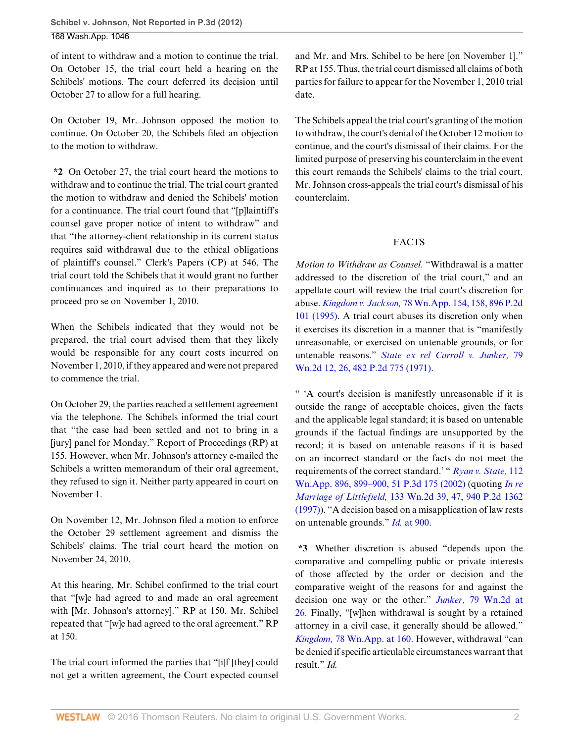of intent to withdraw and a motion to continue the trial. On October 15, the trial court held a hearing on the Schibels' motions. The court deferred its decision until October 27 to allow for a full hearing.

On October 19, Mr. Johnson opposed the motion to continue. On October 20, the Schibels filed an objection to the motion to withdraw.

**\*2** On October 27, the trial court heard the motions to withdraw and to continue the trial. The trial court granted the motion to withdraw and denied the Schibels' motion for a continuance. The trial court found that "[p]laintiff's counsel gave proper notice of intent to withdraw" and that "the attorney-client relationship in its current status requires said withdrawal due to the ethical obligations of plaintiff's counsel." Clerk's Papers (CP) at 546. The trial court told the Schibels that it would grant no further continuances and inquired as to their preparations to proceed pro se on November 1, 2010.

When the Schibels indicated that they would not be prepared, the trial court advised them that they likely would be responsible for any court costs incurred on November 1, 2010, if they appeared and were not prepared to commence the trial.

On October 29, the parties reached a settlement agreement via the telephone. The Schibels informed the trial court that "the case had been settled and not to bring in a [jury] panel for Monday." Report of Proceedings (RP) at 155. However, when Mr. Johnson's attorney e-mailed the Schibels a written memorandum of their oral agreement, they refused to sign it. Neither party appeared in court on November 1.

On November 12, Mr. Johnson filed a motion to enforce the October 29 settlement agreement and dismiss the Schibels' claims. The trial court heard the motion on November 24, 2010.

At this hearing, Mr. Schibel confirmed to the trial court that "[w]e had agreed to and made an oral agreement with [Mr. Johnson's attorney]." RP at 150. Mr. Schibel repeated that "[w]e had agreed to the oral agreement." RP at 150.

The trial court informed the parties that "[i]f [they] could not get a written agreement, the Court expected counsel and Mr. and Mrs. Schibel to be here [on November 1]." RP at 155. Thus, the trial court dismissed all claims of both parties for failure to appear for the November 1, 2010 trial date.

The Schibels appeal the trial court's granting of the motion to withdraw, the court's denial of the October 12 motion to continue, and the court's dismissal of their claims. For the limited purpose of preserving his counterclaim in the event this court remands the Schibels' claims to the trial court, Mr. Johnson cross-appeals the trial court's dismissal of his counterclaim.

## FACTS

*Motion to Withdraw as Counsel.* "Withdrawal is a matter addressed to the discretion of the trial court," and an appellate court will review the trial court's discretion for abuse. *Kingdom v. Jackson,* [78 Wn.App. 154, 158, 896 P.2d](http://www.westlaw.com/Link/Document/FullText?findType=Y&serNum=1995128093&pubNum=661&originatingDoc=Ib0776e72bacb11e1b11ea85d0b248d27&refType=RP&originationContext=document&vr=3.0&rs=cblt1.0&transitionType=DocumentItem&contextData=(sc.Search)) [101 \(1995\).](http://www.westlaw.com/Link/Document/FullText?findType=Y&serNum=1995128093&pubNum=661&originatingDoc=Ib0776e72bacb11e1b11ea85d0b248d27&refType=RP&originationContext=document&vr=3.0&rs=cblt1.0&transitionType=DocumentItem&contextData=(sc.Search)) A trial court abuses its discretion only when it exercises its discretion in a manner that is "manifestly unreasonable, or exercised on untenable grounds, or for untenable reasons." *[State ex rel Carroll v. Junker,](http://www.westlaw.com/Link/Document/FullText?findType=Y&serNum=1971123233&pubNum=661&originatingDoc=Ib0776e72bacb11e1b11ea85d0b248d27&refType=RP&originationContext=document&vr=3.0&rs=cblt1.0&transitionType=DocumentItem&contextData=(sc.Search))* 79 [Wn.2d 12, 26, 482 P.2d 775 \(1971\)](http://www.westlaw.com/Link/Document/FullText?findType=Y&serNum=1971123233&pubNum=661&originatingDoc=Ib0776e72bacb11e1b11ea85d0b248d27&refType=RP&originationContext=document&vr=3.0&rs=cblt1.0&transitionType=DocumentItem&contextData=(sc.Search)).

" 'A court's decision is manifestly unreasonable if it is outside the range of acceptable choices, given the facts and the applicable legal standard; it is based on untenable grounds if the factual findings are unsupported by the record; it is based on untenable reasons if it is based on an incorrect standard or the facts do not meet the requirements of the correct standard.' " *[Ryan v. State,](http://www.westlaw.com/Link/Document/FullText?findType=Y&serNum=2002487483&pubNum=4645&originatingDoc=Ib0776e72bacb11e1b11ea85d0b248d27&refType=RP&originationContext=document&vr=3.0&rs=cblt1.0&transitionType=DocumentItem&contextData=(sc.Search))* 112 [Wn.App. 896, 899–900, 51 P.3d 175 \(2002\)](http://www.westlaw.com/Link/Document/FullText?findType=Y&serNum=2002487483&pubNum=4645&originatingDoc=Ib0776e72bacb11e1b11ea85d0b248d27&refType=RP&originationContext=document&vr=3.0&rs=cblt1.0&transitionType=DocumentItem&contextData=(sc.Search)) (quoting *[In re](http://www.westlaw.com/Link/Document/FullText?findType=Y&serNum=1997165808&pubNum=661&originatingDoc=Ib0776e72bacb11e1b11ea85d0b248d27&refType=RP&originationContext=document&vr=3.0&rs=cblt1.0&transitionType=DocumentItem&contextData=(sc.Search)) Marriage of Littlefield,* [133 Wn.2d 39, 47, 940 P.2d 1362](http://www.westlaw.com/Link/Document/FullText?findType=Y&serNum=1997165808&pubNum=661&originatingDoc=Ib0776e72bacb11e1b11ea85d0b248d27&refType=RP&originationContext=document&vr=3.0&rs=cblt1.0&transitionType=DocumentItem&contextData=(sc.Search)) [\(1997\)\)](http://www.westlaw.com/Link/Document/FullText?findType=Y&serNum=1997165808&pubNum=661&originatingDoc=Ib0776e72bacb11e1b11ea85d0b248d27&refType=RP&originationContext=document&vr=3.0&rs=cblt1.0&transitionType=DocumentItem&contextData=(sc.Search)). "A decision based on a misapplication of law rests on untenable grounds." *Id.* [at 900.](http://www.westlaw.com/Link/Document/FullText?findType=Y&serNum=2002487483&originatingDoc=Ib0776e72bacb11e1b11ea85d0b248d27&refType=RP&originationContext=document&vr=3.0&rs=cblt1.0&transitionType=DocumentItem&contextData=(sc.Search))

**\*3** Whether discretion is abused "depends upon the comparative and compelling public or private interests of those affected by the order or decision and the comparative weight of the reasons for and against the decision one way or the other." *Junker,* [79 Wn.2d at](http://www.westlaw.com/Link/Document/FullText?findType=Y&serNum=1971123233&pubNum=804&originatingDoc=Ib0776e72bacb11e1b11ea85d0b248d27&refType=RP&fi=co_pp_sp_804_26&originationContext=document&vr=3.0&rs=cblt1.0&transitionType=DocumentItem&contextData=(sc.Search)#co_pp_sp_804_26) [26.](http://www.westlaw.com/Link/Document/FullText?findType=Y&serNum=1971123233&pubNum=804&originatingDoc=Ib0776e72bacb11e1b11ea85d0b248d27&refType=RP&fi=co_pp_sp_804_26&originationContext=document&vr=3.0&rs=cblt1.0&transitionType=DocumentItem&contextData=(sc.Search)#co_pp_sp_804_26) Finally, "[w]hen withdrawal is sought by a retained attorney in a civil case, it generally should be allowed." *Kingdom,* [78 Wn.App. at 160.](http://www.westlaw.com/Link/Document/FullText?findType=Y&serNum=1995128093&pubNum=800&originatingDoc=Ib0776e72bacb11e1b11ea85d0b248d27&refType=RP&fi=co_pp_sp_800_160&originationContext=document&vr=3.0&rs=cblt1.0&transitionType=DocumentItem&contextData=(sc.Search)#co_pp_sp_800_160) However, withdrawal "can be denied if specific articulable circumstances warrant that result." *Id.*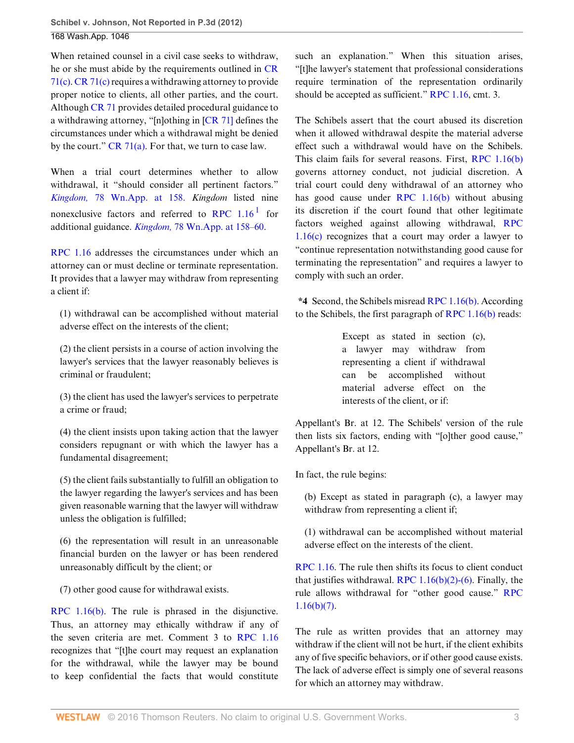When retained counsel in a civil case seeks to withdraw, he or she must abide by the requirements outlined in [CR](http://www.westlaw.com/Link/Document/FullText?findType=L&pubNum=1005378&cite=WARSUPERCTCIVCR71&originatingDoc=Ib0776e72bacb11e1b11ea85d0b248d27&refType=LQ&originationContext=document&vr=3.0&rs=cblt1.0&transitionType=DocumentItem&contextData=(sc.Search)) [71\(c\)](http://www.westlaw.com/Link/Document/FullText?findType=L&pubNum=1005378&cite=WARSUPERCTCIVCR71&originatingDoc=Ib0776e72bacb11e1b11ea85d0b248d27&refType=LQ&originationContext=document&vr=3.0&rs=cblt1.0&transitionType=DocumentItem&contextData=(sc.Search)). [CR 71\(c\)](http://www.westlaw.com/Link/Document/FullText?findType=L&pubNum=1005378&cite=WARSUPERCTCIVCR71&originatingDoc=Ib0776e72bacb11e1b11ea85d0b248d27&refType=LQ&originationContext=document&vr=3.0&rs=cblt1.0&transitionType=DocumentItem&contextData=(sc.Search)) requires a withdrawing attorney to provide proper notice to clients, all other parties, and the court. Although [CR 71](http://www.westlaw.com/Link/Document/FullText?findType=L&pubNum=1005378&cite=WARSUPERCTCIVCR71&originatingDoc=Ib0776e72bacb11e1b11ea85d0b248d27&refType=LQ&originationContext=document&vr=3.0&rs=cblt1.0&transitionType=DocumentItem&contextData=(sc.Search)) provides detailed procedural guidance to a withdrawing attorney, "[n]othing in [[CR 71\]](http://www.westlaw.com/Link/Document/FullText?findType=L&pubNum=1005378&cite=WARSUPERCTCIVCR71&originatingDoc=Ib0776e72bacb11e1b11ea85d0b248d27&refType=LQ&originationContext=document&vr=3.0&rs=cblt1.0&transitionType=DocumentItem&contextData=(sc.Search)) defines the circumstances under which a withdrawal might be denied by the court."  $CR \, 71(a)$ . For that, we turn to case law.

When a trial court determines whether to allow withdrawal, it "should consider all pertinent factors." *Kingdom,* [78 Wn.App. at 158.](http://www.westlaw.com/Link/Document/FullText?findType=Y&serNum=1995128093&pubNum=800&originatingDoc=Ib0776e72bacb11e1b11ea85d0b248d27&refType=RP&fi=co_pp_sp_800_158&originationContext=document&vr=3.0&rs=cblt1.0&transitionType=DocumentItem&contextData=(sc.Search)#co_pp_sp_800_158) *Kingdom* listed nine nonexclusive factors and referred to RPC  $1.16<sup>1</sup>$  $1.16<sup>1</sup>$  for additional guidance. *Kingdom,* [78 Wn.App. at 158–60.](http://www.westlaw.com/Link/Document/FullText?findType=Y&serNum=1995128093&pubNum=800&originatingDoc=Ib0776e72bacb11e1b11ea85d0b248d27&refType=RP&fi=co_pp_sp_800_158&originationContext=document&vr=3.0&rs=cblt1.0&transitionType=DocumentItem&contextData=(sc.Search)#co_pp_sp_800_158)

[RPC 1.16](http://www.westlaw.com/Link/Document/FullText?findType=L&pubNum=1000259&cite=WARRPC1.16&originatingDoc=Ib0776e72bacb11e1b11ea85d0b248d27&refType=LQ&originationContext=document&vr=3.0&rs=cblt1.0&transitionType=DocumentItem&contextData=(sc.Search)) addresses the circumstances under which an attorney can or must decline or terminate representation. It provides that a lawyer may withdraw from representing a client if:

(1) withdrawal can be accomplished without material adverse effect on the interests of the client;

(2) the client persists in a course of action involving the lawyer's services that the lawyer reasonably believes is criminal or fraudulent;

(3) the client has used the lawyer's services to perpetrate a crime or fraud;

(4) the client insists upon taking action that the lawyer considers repugnant or with which the lawyer has a fundamental disagreement;

(5) the client fails substantially to fulfill an obligation to the lawyer regarding the lawyer's services and has been given reasonable warning that the lawyer will withdraw unless the obligation is fulfilled;

(6) the representation will result in an unreasonable financial burden on the lawyer or has been rendered unreasonably difficult by the client; or

(7) other good cause for withdrawal exists.

[RPC 1.16\(b\).](http://www.westlaw.com/Link/Document/FullText?findType=L&pubNum=1000259&cite=WARRPC1.16&originatingDoc=Ib0776e72bacb11e1b11ea85d0b248d27&refType=LQ&originationContext=document&vr=3.0&rs=cblt1.0&transitionType=DocumentItem&contextData=(sc.Search)) The rule is phrased in the disjunctive. Thus, an attorney may ethically withdraw if any of the seven criteria are met. Comment 3 to [RPC 1.16](http://www.westlaw.com/Link/Document/FullText?findType=L&pubNum=1000259&cite=WARRPC1.16&originatingDoc=Ib0776e72bacb11e1b11ea85d0b248d27&refType=LQ&originationContext=document&vr=3.0&rs=cblt1.0&transitionType=DocumentItem&contextData=(sc.Search)) recognizes that "[t]he court may request an explanation for the withdrawal, while the lawyer may be bound to keep confidential the facts that would constitute

such an explanation." When this situation arises, "[t]he lawyer's statement that professional considerations require termination of the representation ordinarily should be accepted as sufficient." [RPC 1.16,](http://www.westlaw.com/Link/Document/FullText?findType=L&pubNum=1000259&cite=WARRPC1.16&originatingDoc=Ib0776e72bacb11e1b11ea85d0b248d27&refType=LQ&originationContext=document&vr=3.0&rs=cblt1.0&transitionType=DocumentItem&contextData=(sc.Search)) cmt. 3.

<span id="page-2-0"></span>The Schibels assert that the court abused its discretion when it allowed withdrawal despite the material adverse effect such a withdrawal would have on the Schibels. This claim fails for several reasons. First, [RPC 1.16\(b\)](http://www.westlaw.com/Link/Document/FullText?findType=L&pubNum=1000259&cite=WARRPC1.16&originatingDoc=Ib0776e72bacb11e1b11ea85d0b248d27&refType=LQ&originationContext=document&vr=3.0&rs=cblt1.0&transitionType=DocumentItem&contextData=(sc.Search)) governs attorney conduct, not judicial discretion. A trial court could deny withdrawal of an attorney who has good cause under [RPC 1.16\(b\)](http://www.westlaw.com/Link/Document/FullText?findType=L&pubNum=1000259&cite=WARRPC1.16&originatingDoc=Ib0776e72bacb11e1b11ea85d0b248d27&refType=LQ&originationContext=document&vr=3.0&rs=cblt1.0&transitionType=DocumentItem&contextData=(sc.Search)) without abusing its discretion if the court found that other legitimate factors weighed against allowing withdrawal, [RPC](http://www.westlaw.com/Link/Document/FullText?findType=L&pubNum=1000259&cite=WARRPC1.16&originatingDoc=Ib0776e72bacb11e1b11ea85d0b248d27&refType=LQ&originationContext=document&vr=3.0&rs=cblt1.0&transitionType=DocumentItem&contextData=(sc.Search)) [1.16\(c\)](http://www.westlaw.com/Link/Document/FullText?findType=L&pubNum=1000259&cite=WARRPC1.16&originatingDoc=Ib0776e72bacb11e1b11ea85d0b248d27&refType=LQ&originationContext=document&vr=3.0&rs=cblt1.0&transitionType=DocumentItem&contextData=(sc.Search)) recognizes that a court may order a lawyer to "continue representation notwithstanding good cause for terminating the representation" and requires a lawyer to comply with such an order.

**\*4** Second, the Schibels misread [RPC 1.16\(b\).](http://www.westlaw.com/Link/Document/FullText?findType=L&pubNum=1000259&cite=WARRPC1.16&originatingDoc=Ib0776e72bacb11e1b11ea85d0b248d27&refType=LQ&originationContext=document&vr=3.0&rs=cblt1.0&transitionType=DocumentItem&contextData=(sc.Search)) According to the Schibels, the first paragraph of [RPC 1.16\(b\)](http://www.westlaw.com/Link/Document/FullText?findType=L&pubNum=1000259&cite=WARRPC1.16&originatingDoc=Ib0776e72bacb11e1b11ea85d0b248d27&refType=LQ&originationContext=document&vr=3.0&rs=cblt1.0&transitionType=DocumentItem&contextData=(sc.Search)) reads:

> Except as stated in section (c), a lawyer may withdraw from representing a client if withdrawal can be accomplished without material adverse effect on the interests of the client, or if:

Appellant's Br. at 12. The Schibels' version of the rule then lists six factors, ending with "[o]ther good cause," Appellant's Br. at 12.

In fact, the rule begins:

(b) Except as stated in paragraph (c), a lawyer may withdraw from representing a client if;

(1) withdrawal can be accomplished without material adverse effect on the interests of the client.

[RPC 1.16.](http://www.westlaw.com/Link/Document/FullText?findType=L&pubNum=1000259&cite=WARRPC1.16&originatingDoc=Ib0776e72bacb11e1b11ea85d0b248d27&refType=LQ&originationContext=document&vr=3.0&rs=cblt1.0&transitionType=DocumentItem&contextData=(sc.Search)) The rule then shifts its focus to client conduct that justifies withdrawal. RPC  $1.16(b)(2)-(6)$ . Finally, the rule allows withdrawal for "other good cause." [RPC](http://www.westlaw.com/Link/Document/FullText?findType=L&pubNum=1000259&cite=WARRPC1.16&originatingDoc=Ib0776e72bacb11e1b11ea85d0b248d27&refType=LQ&originationContext=document&vr=3.0&rs=cblt1.0&transitionType=DocumentItem&contextData=(sc.Search))  $1.16(b)(7)$ .

The rule as written provides that an attorney may withdraw if the client will not be hurt, if the client exhibits any of five specific behaviors, or if other good cause exists. The lack of adverse effect is simply one of several reasons for which an attorney may withdraw.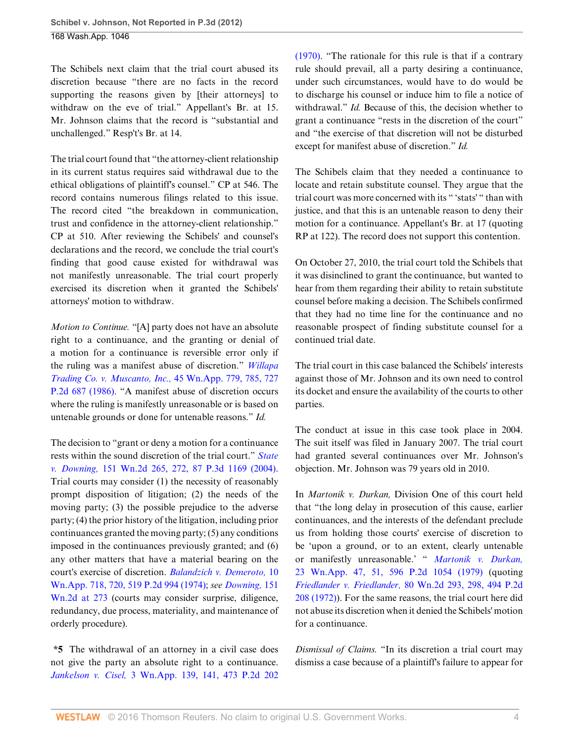The Schibels next claim that the trial court abused its discretion because "there are no facts in the record supporting the reasons given by [their attorneys] to withdraw on the eve of trial." Appellant's Br. at 15. Mr. Johnson claims that the record is "substantial and unchallenged." Resp't's Br. at 14.

The trial court found that "the attorney-client relationship in its current status requires said withdrawal due to the ethical obligations of plaintiff's counsel." CP at 546. The record contains numerous filings related to this issue. The record cited "the breakdown in communication, trust and confidence in the attorney-client relationship." CP at 510. After reviewing the Schibels' and counsel's declarations and the record, we conclude the trial court's finding that good cause existed for withdrawal was not manifestly unreasonable. The trial court properly exercised its discretion when it granted the Schibels' attorneys' motion to withdraw.

*Motion to Continue.* "[A] party does not have an absolute right to a continuance, and the granting or denial of a motion for a continuance is reversible error only if the ruling was a manifest abuse of discretion." *[Willapa](http://www.westlaw.com/Link/Document/FullText?findType=Y&serNum=1986154626&pubNum=661&originatingDoc=Ib0776e72bacb11e1b11ea85d0b248d27&refType=RP&originationContext=document&vr=3.0&rs=cblt1.0&transitionType=DocumentItem&contextData=(sc.Search)) [Trading Co. v. Muscanto, Inc.,](http://www.westlaw.com/Link/Document/FullText?findType=Y&serNum=1986154626&pubNum=661&originatingDoc=Ib0776e72bacb11e1b11ea85d0b248d27&refType=RP&originationContext=document&vr=3.0&rs=cblt1.0&transitionType=DocumentItem&contextData=(sc.Search))* 45 Wn.App. 779, 785, 727 [P.2d 687 \(1986\).](http://www.westlaw.com/Link/Document/FullText?findType=Y&serNum=1986154626&pubNum=661&originatingDoc=Ib0776e72bacb11e1b11ea85d0b248d27&refType=RP&originationContext=document&vr=3.0&rs=cblt1.0&transitionType=DocumentItem&contextData=(sc.Search)) "A manifest abuse of discretion occurs where the ruling is manifestly unreasonable or is based on untenable grounds or done for untenable reasons." *Id.*

The decision to "grant or deny a motion for a continuance rests within the sound discretion of the trial court." *[State](http://www.westlaw.com/Link/Document/FullText?findType=Y&serNum=2004328534&pubNum=4645&originatingDoc=Ib0776e72bacb11e1b11ea85d0b248d27&refType=RP&originationContext=document&vr=3.0&rs=cblt1.0&transitionType=DocumentItem&contextData=(sc.Search)) v. Downing,* [151 Wn.2d 265, 272, 87 P.3d 1169 \(2004\)](http://www.westlaw.com/Link/Document/FullText?findType=Y&serNum=2004328534&pubNum=4645&originatingDoc=Ib0776e72bacb11e1b11ea85d0b248d27&refType=RP&originationContext=document&vr=3.0&rs=cblt1.0&transitionType=DocumentItem&contextData=(sc.Search)). Trial courts may consider (1) the necessity of reasonably prompt disposition of litigation; (2) the needs of the moving party; (3) the possible prejudice to the adverse party; (4) the prior history of the litigation, including prior continuances granted the moving party; (5) any conditions imposed in the continuances previously granted; and (6) any other matters that have a material bearing on the court's exercise of discretion. *[Balandzich v. Demeroto,](http://www.westlaw.com/Link/Document/FullText?findType=Y&serNum=1974123375&pubNum=661&originatingDoc=Ib0776e72bacb11e1b11ea85d0b248d27&refType=RP&originationContext=document&vr=3.0&rs=cblt1.0&transitionType=DocumentItem&contextData=(sc.Search))* 10 [Wn.App. 718, 720, 519 P.2d 994 \(1974\);](http://www.westlaw.com/Link/Document/FullText?findType=Y&serNum=1974123375&pubNum=661&originatingDoc=Ib0776e72bacb11e1b11ea85d0b248d27&refType=RP&originationContext=document&vr=3.0&rs=cblt1.0&transitionType=DocumentItem&contextData=(sc.Search)) *see [Downing,](http://www.westlaw.com/Link/Document/FullText?findType=Y&serNum=2004328534&pubNum=804&originatingDoc=Ib0776e72bacb11e1b11ea85d0b248d27&refType=RP&fi=co_pp_sp_804_273&originationContext=document&vr=3.0&rs=cblt1.0&transitionType=DocumentItem&contextData=(sc.Search)#co_pp_sp_804_273)* 151 [Wn.2d at 273](http://www.westlaw.com/Link/Document/FullText?findType=Y&serNum=2004328534&pubNum=804&originatingDoc=Ib0776e72bacb11e1b11ea85d0b248d27&refType=RP&fi=co_pp_sp_804_273&originationContext=document&vr=3.0&rs=cblt1.0&transitionType=DocumentItem&contextData=(sc.Search)#co_pp_sp_804_273) (courts may consider surprise, diligence, redundancy, due process, materiality, and maintenance of orderly procedure).

**\*5** The withdrawal of an attorney in a civil case does not give the party an absolute right to a continuance. *Jankelson v. Cisel,* [3 Wn.App. 139, 141, 473 P.2d 202](http://www.westlaw.com/Link/Document/FullText?findType=Y&serNum=1970132386&pubNum=661&originatingDoc=Ib0776e72bacb11e1b11ea85d0b248d27&refType=RP&originationContext=document&vr=3.0&rs=cblt1.0&transitionType=DocumentItem&contextData=(sc.Search)) [\(1970\).](http://www.westlaw.com/Link/Document/FullText?findType=Y&serNum=1970132386&pubNum=661&originatingDoc=Ib0776e72bacb11e1b11ea85d0b248d27&refType=RP&originationContext=document&vr=3.0&rs=cblt1.0&transitionType=DocumentItem&contextData=(sc.Search)) "The rationale for this rule is that if a contrary rule should prevail, all a party desiring a continuance, under such circumstances, would have to do would be to discharge his counsel or induce him to file a notice of withdrawal." *Id.* Because of this, the decision whether to grant a continuance "rests in the discretion of the court" and "the exercise of that discretion will not be disturbed except for manifest abuse of discretion." *Id.*

The Schibels claim that they needed a continuance to locate and retain substitute counsel. They argue that the trial court was more concerned with its " 'stats' " than with justice, and that this is an untenable reason to deny their motion for a continuance. Appellant's Br. at 17 (quoting RP at 122). The record does not support this contention.

On October 27, 2010, the trial court told the Schibels that it was disinclined to grant the continuance, but wanted to hear from them regarding their ability to retain substitute counsel before making a decision. The Schibels confirmed that they had no time line for the continuance and no reasonable prospect of finding substitute counsel for a continued trial date.

The trial court in this case balanced the Schibels' interests against those of Mr. Johnson and its own need to control its docket and ensure the availability of the courts to other parties.

The conduct at issue in this case took place in 2004. The suit itself was filed in January 2007. The trial court had granted several continuances over Mr. Johnson's objection. Mr. Johnson was 79 years old in 2010.

In *Martonik v. Durkan,* Division One of this court held that "the long delay in prosecution of this cause, earlier continuances, and the interests of the defendant preclude us from holding those courts' exercise of discretion to be 'upon a ground, or to an extent, clearly untenable or manifestly unreasonable.' " *[Martonik v. Durkan,](http://www.westlaw.com/Link/Document/FullText?findType=Y&serNum=1979124669&pubNum=661&originatingDoc=Ib0776e72bacb11e1b11ea85d0b248d27&refType=RP&originationContext=document&vr=3.0&rs=cblt1.0&transitionType=DocumentItem&contextData=(sc.Search))* [23 Wn.App. 47, 51, 596 P.2d 1054 \(1979\)](http://www.westlaw.com/Link/Document/FullText?findType=Y&serNum=1979124669&pubNum=661&originatingDoc=Ib0776e72bacb11e1b11ea85d0b248d27&refType=RP&originationContext=document&vr=3.0&rs=cblt1.0&transitionType=DocumentItem&contextData=(sc.Search)) (quoting *Friedlander v. Friedlander,* [80 Wn.2d 293, 298, 494 P.2d](http://www.westlaw.com/Link/Document/FullText?findType=Y&serNum=1972123111&pubNum=661&originatingDoc=Ib0776e72bacb11e1b11ea85d0b248d27&refType=RP&originationContext=document&vr=3.0&rs=cblt1.0&transitionType=DocumentItem&contextData=(sc.Search)) [208 \(1972\)](http://www.westlaw.com/Link/Document/FullText?findType=Y&serNum=1972123111&pubNum=661&originatingDoc=Ib0776e72bacb11e1b11ea85d0b248d27&refType=RP&originationContext=document&vr=3.0&rs=cblt1.0&transitionType=DocumentItem&contextData=(sc.Search))). For the same reasons, the trial court here did not abuse its discretion when it denied the Schibels' motion for a continuance.

*Dismissal of Claims.* "In its discretion a trial court may dismiss a case because of a plaintiff's failure to appear for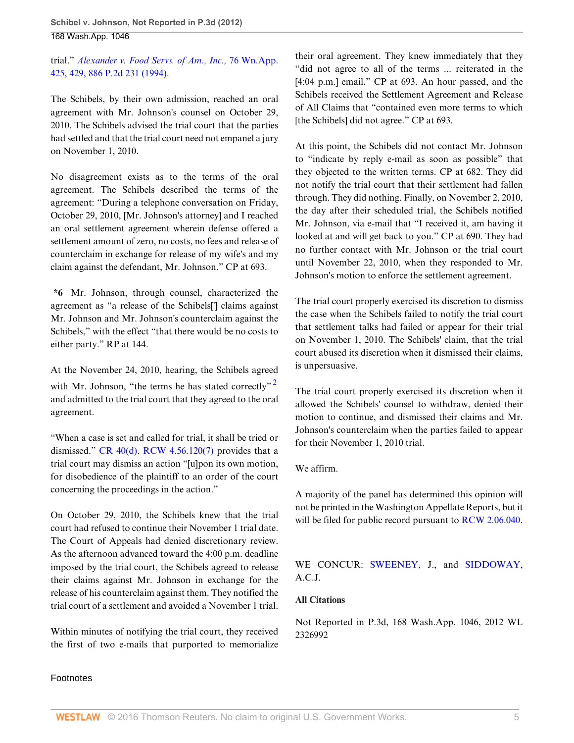trial." *[Alexander v. Food Servs. of Am., Inc.,](http://www.westlaw.com/Link/Document/FullText?findType=Y&serNum=1994252174&pubNum=661&originatingDoc=Ib0776e72bacb11e1b11ea85d0b248d27&refType=RP&originationContext=document&vr=3.0&rs=cblt1.0&transitionType=DocumentItem&contextData=(sc.Search))* 76 Wn.App. [425, 429, 886 P.2d 231 \(1994\).](http://www.westlaw.com/Link/Document/FullText?findType=Y&serNum=1994252174&pubNum=661&originatingDoc=Ib0776e72bacb11e1b11ea85d0b248d27&refType=RP&originationContext=document&vr=3.0&rs=cblt1.0&transitionType=DocumentItem&contextData=(sc.Search))

The Schibels, by their own admission, reached an oral agreement with Mr. Johnson's counsel on October 29, 2010. The Schibels advised the trial court that the parties had settled and that the trial court need not empanel a jury on November 1, 2010.

No disagreement exists as to the terms of the oral agreement. The Schibels described the terms of the agreement: "During a telephone conversation on Friday, October 29, 2010, [Mr. Johnson's attorney] and I reached an oral settlement agreement wherein defense offered a settlement amount of zero, no costs, no fees and release of counterclaim in exchange for release of my wife's and my claim against the defendant, Mr. Johnson." CP at 693.

**\*6** Mr. Johnson, through counsel, characterized the agreement as "a release of the Schibels['] claims against Mr. Johnson and Mr. Johnson's counterclaim against the Schibels," with the effect "that there would be no costs to either party." RP at 144.

At the November 24, 2010, hearing, the Schibels agreed with Mr. Johnson, "the terms he has stated correctly"<sup>[2](#page-5-1)</sup> and admitted to the trial court that they agreed to the oral agreement.

"When a case is set and called for trial, it shall be tried or dismissed." CR  $40(d)$ . RCW  $4.56.120(7)$  provides that a trial court may dismiss an action "[u]pon its own motion, for disobedience of the plaintiff to an order of the court concerning the proceedings in the action."

On October 29, 2010, the Schibels knew that the trial court had refused to continue their November 1 trial date. The Court of Appeals had denied discretionary review. As the afternoon advanced toward the 4:00 p.m. deadline imposed by the trial court, the Schibels agreed to release their claims against Mr. Johnson in exchange for the release of his counterclaim against them. They notified the trial court of a settlement and avoided a November 1 trial.

Within minutes of notifying the trial court, they received the first of two e-mails that purported to memorialize

their oral agreement. They knew immediately that they "did not agree to all of the terms ... reiterated in the [4:04 p.m.] email." CP at 693. An hour passed, and the Schibels received the Settlement Agreement and Release of All Claims that "contained even more terms to which [the Schibels] did not agree." CP at 693.

At this point, the Schibels did not contact Mr. Johnson to "indicate by reply e-mail as soon as possible" that they objected to the written terms. CP at 682. They did not notify the trial court that their settlement had fallen through. They did nothing. Finally, on November 2, 2010, the day after their scheduled trial, the Schibels notified Mr. Johnson, via e-mail that "I received it, am having it looked at and will get back to you." CP at 690. They had no further contact with Mr. Johnson or the trial court until November 22, 2010, when they responded to Mr. Johnson's motion to enforce the settlement agreement.

The trial court properly exercised its discretion to dismiss the case when the Schibels failed to notify the trial court that settlement talks had failed or appear for their trial on November 1, 2010. The Schibels' claim, that the trial court abused its discretion when it dismissed their claims, is unpersuasive.

<span id="page-4-0"></span>The trial court properly exercised its discretion when it allowed the Schibels' counsel to withdraw, denied their motion to continue, and dismissed their claims and Mr. Johnson's counterclaim when the parties failed to appear for their November 1, 2010 trial.

#### We affirm.

A majority of the panel has determined this opinion will not be printed in the Washington Appellate Reports, but it will be filed for public record pursuant to [RCW 2.06.040](http://www.westlaw.com/Link/Document/FullText?findType=L&pubNum=1000259&cite=WAST2.06.040&originatingDoc=Ib0776e72bacb11e1b11ea85d0b248d27&refType=LQ&originationContext=document&vr=3.0&rs=cblt1.0&transitionType=DocumentItem&contextData=(sc.Search)).

WE CONCUR: [SWEENEY](http://www.westlaw.com/Link/Document/FullText?findType=h&pubNum=176284&cite=0257836201&originatingDoc=Ib0776e72bacb11e1b11ea85d0b248d27&refType=RQ&originationContext=document&vr=3.0&rs=cblt1.0&transitionType=DocumentItem&contextData=(sc.Search)), J., and [SIDDOWAY](http://www.westlaw.com/Link/Document/FullText?findType=h&pubNum=176284&cite=0119717901&originatingDoc=Ib0776e72bacb11e1b11ea85d0b248d27&refType=RQ&originationContext=document&vr=3.0&rs=cblt1.0&transitionType=DocumentItem&contextData=(sc.Search)), A.C.J.

## **All Citations**

Not Reported in P.3d, 168 Wash.App. 1046, 2012 WL 2326992

# Footnotes